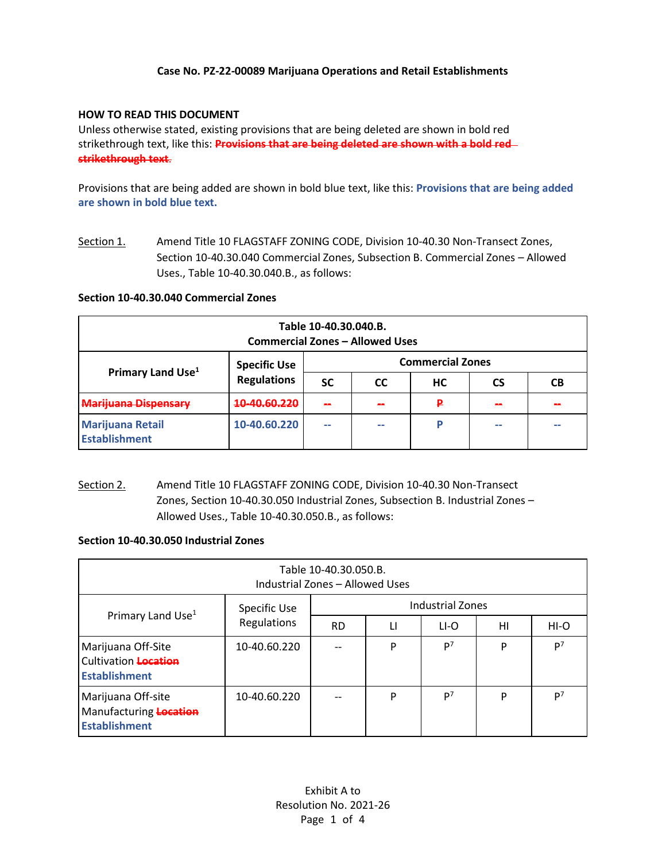## **Case No. PZ-22-00089 Marijuana Operations and Retail Establishments**

### **HOW TO READ THIS DOCUMENT**

Unless otherwise stated, existing provisions that are being deleted are shown in bold red strikethrough text, like this: **Provisions that are being deleted are shown with a bold red strikethrough text**.

Provisions that are being added are shown in bold blue text, like this: **Provisions that are being added are shown in bold blue text.**

Section 1. Amend Title 10 FLAGSTAFF ZONING CODE, Division 10-40.30 Non-Transect Zones, Section 10-40.30.040 Commercial Zones, Subsection B. Commercial Zones – Allowed Uses., Table 10-40.30.040.B., as follows:

#### **Section 10-40.30.040 Commercial Zones**

| Table 10-40.30.040.B.<br><b>Commercial Zones - Allowed Uses</b> |                                           |                          |                          |    |           |    |  |  |  |  |
|-----------------------------------------------------------------|-------------------------------------------|--------------------------|--------------------------|----|-----------|----|--|--|--|--|
| Primary Land Use <sup>1</sup>                                   | <b>Specific Use</b><br><b>Regulations</b> | <b>Commercial Zones</b>  |                          |    |           |    |  |  |  |  |
|                                                                 |                                           | <b>SC</b>                | <b>CC</b>                | HС | <b>CS</b> | CВ |  |  |  |  |
| Marijuana Dispensary                                            | 10-40 60 220                              |                          |                          | ₽  |           |    |  |  |  |  |
| <b>Marijuana Retail</b><br><b>Establishment</b>                 | 10-40.60.220                              | $\overline{\phantom{a}}$ | $\overline{\phantom{a}}$ | P  | --        | -- |  |  |  |  |

Section 2. Amend Title 10 FLAGSTAFF ZONING CODE, Division 10-40.30 Non-Transect Zones, Section 10-40.30.050 Industrial Zones, Subsection B. Industrial Zones – Allowed Uses., Table 10-40.30.050.B., as follows:

### **Section 10-40.30.050 Industrial Zones**

| Table 10-40.30.050.B.<br>Industrial Zones - Allowed Uses                  |                             |                         |    |                |    |                |  |  |  |  |
|---------------------------------------------------------------------------|-----------------------------|-------------------------|----|----------------|----|----------------|--|--|--|--|
| Primary Land Use <sup>1</sup>                                             | Specific Use<br>Regulations | <b>Industrial Zones</b> |    |                |    |                |  |  |  |  |
|                                                                           |                             | <b>RD</b>               | LI | LI-O           | HI | $HI-O$         |  |  |  |  |
| Marijuana Off-Site<br>Cultivation <b>Location</b><br><b>Establishment</b> | 10-40.60.220                |                         | P  | P <sup>7</sup> | P  | P <sup>7</sup> |  |  |  |  |
| Marijuana Off-site<br>Manufacturing Location<br><b>Establishment</b>      | 10-40.60.220                |                         | P  | P <sup>7</sup> | P  | P <sup>7</sup> |  |  |  |  |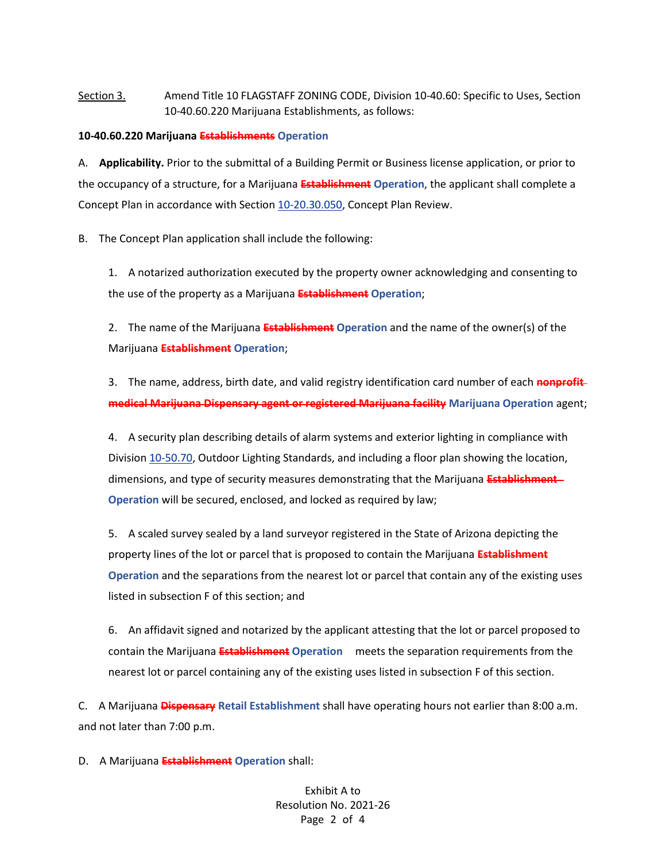# Section 3. Amend Title 10 FLAGSTAFF ZONING CODE, Division 10-40.60: Specific to Uses, Section 10-40.60.220 Marijuana Establishments, as follows:

#### **10-40.60.220 Marijuana Establishments Operation**

A. **Applicability.** Prior to the submittal of a Building Permit or Business license application, or prior to the occupancy of a structure, for a Marijuana **Establishment Operation**, the applicant shall complete a Concept Plan in accordance with Section [10-20.30.050,](https://www.codepublishing.com/AZ/Flagstaff/html/Flagstaff10/Flagstaff1020030.html#10.20.30.050) Concept Plan Review.

B. The Concept Plan application shall include the following:

1. A notarized authorization executed by the property owner acknowledging and consenting to the use of the property as a Marijuana **Establishment Operation**;

2. The name of the Marijuana **Establishment Operation** and the name of the owner(s) of the Marijuana **Establishment Operation**;

3. The name, address, birth date, and valid registry identification card number of each **nonprofit medical Marijuana Dispensary agent or registered Marijuana facility Marijuana Operation** agent;

4. A security plan describing details of alarm systems and exterior lighting in compliance with Division [10-50.70,](https://www.codepublishing.com/AZ/Flagstaff/html/Flagstaff10/Flagstaff1050070.html#10.50.70) Outdoor Lighting Standards, and including a floor plan showing the location, dimensions, and type of security measures demonstrating that the Marijuana **Establishment Operation** will be secured, enclosed, and locked as required by law;

5. A scaled survey sealed by a land surveyor registered in the State of Arizona depicting the property lines of the lot or parcel that is proposed to contain the Marijuana **Establishment Operation** and the separations from the nearest lot or parcel that contain any of the existing uses listed in subsection F of this section; and

6. An affidavit signed and notarized by the applicant attesting that the lot or parcel proposed to contain the Marijuana **Establishment Operation** meets the separation requirements from the nearest lot or parcel containing any of the existing uses listed in subsection F of this section.

C. A Marijuana **Dispensary Retail Establishment** shall have operating hours not earlier than 8:00 a.m. and not later than 7:00 p.m.

D. A Marijuana **Establishment Operation** shall:

Exhibit A to Resolution No. 2021-26 Page 2 of 4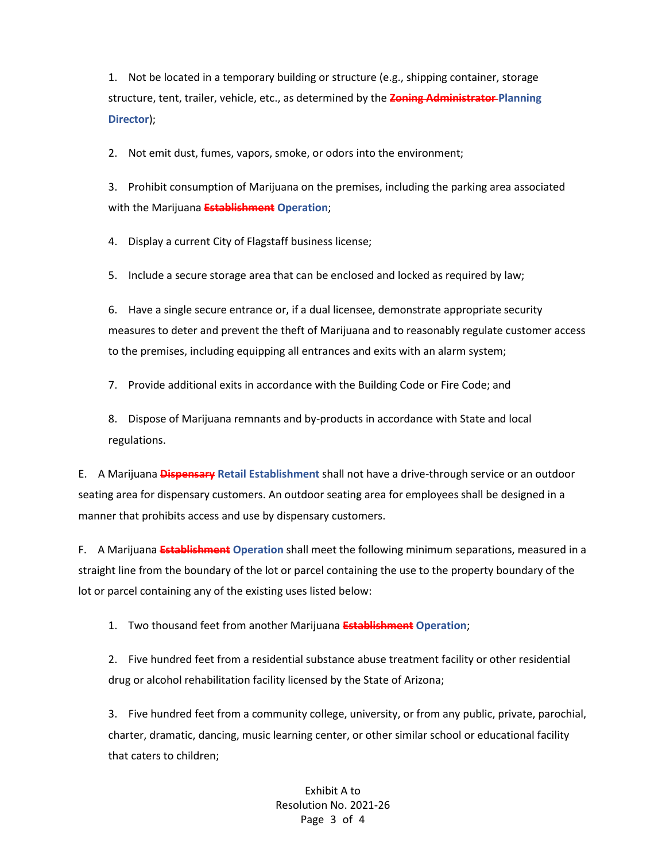1. Not be located in a temporary building or structure (e.g., shipping container, storage structure, tent, trailer, vehicle, etc., as determined by the **Zoning Administrator Planning Director**);

2. Not emit dust, fumes, vapors, smoke, or odors into the environment;

3. Prohibit consumption of Marijuana on the premises, including the parking area associated with the Marijuana **Establishment Operation**;

4. Display a current City of Flagstaff business license;

5. Include a secure storage area that can be enclosed and locked as required by law;

6. Have a single secure entrance or, if a dual licensee, demonstrate appropriate security measures to deter and prevent the theft of Marijuana and to reasonably regulate customer access to the premises, including equipping all entrances and exits with an alarm system;

7. Provide additional exits in accordance with the Building Code or Fire Code; and

8. Dispose of Marijuana remnants and by-products in accordance with State and local regulations.

E. A Marijuana **Dispensary Retail Establishment** shall not have a drive-through service or an outdoor seating area for dispensary customers. An outdoor seating area for employees shall be designed in a manner that prohibits access and use by dispensary customers.

F. A Marijuana **Establishment Operation** shall meet the following minimum separations, measured in a straight line from the boundary of the lot or parcel containing the use to the property boundary of the lot or parcel containing any of the existing uses listed below:

1. Two thousand feet from another Marijuana **Establishment Operation**;

2. Five hundred feet from a residential substance abuse treatment facility or other residential drug or alcohol rehabilitation facility licensed by the State of Arizona;

3. Five hundred feet from a community college, university, or from any public, private, parochial, charter, dramatic, dancing, music learning center, or other similar school or educational facility that caters to children;

> Exhibit A to Resolution No. 2021-26 Page 3 of 4